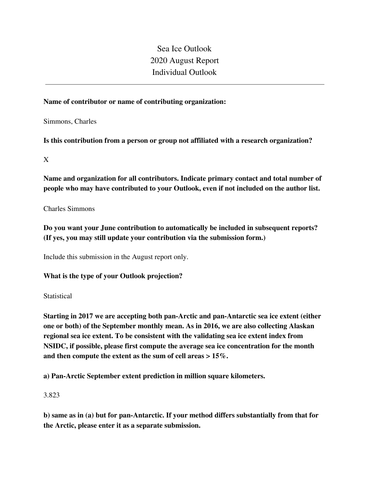Sea Ice Outlook 2020 August Report Individual Outlook

# **Name of contributor or name of contributing organization:**

Simmons, Charles

**Is this contribution from a person or group not affiliated with a research organization?** 

X

**Name and organization for all contributors. Indicate primary contact and total number of people who may have contributed to your Outlook, even if not included on the author list.**

Charles Simmons

**Do you want your June contribution to automatically be included in subsequent reports? (If yes, you may still update your contribution via the submission form.)**

Include this submission in the August report only.

**What is the type of your Outlook projection?** 

**Statistical** 

**Starting in 2017 we are accepting both pan-Arctic and pan-Antarctic sea ice extent (either one or both) of the September monthly mean. As in 2016, we are also collecting Alaskan regional sea ice extent. To be consistent with the validating sea ice extent index from NSIDC, if possible, please first compute the average sea ice concentration for the month and then compute the extent as the sum of cell areas > 15%.**

**a) Pan-Arctic September extent prediction in million square kilometers.**

3.823

**b) same as in (a) but for pan-Antarctic. If your method differs substantially from that for the Arctic, please enter it as a separate submission.**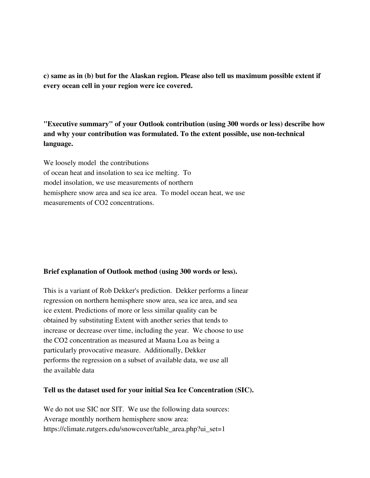**c) same as in (b) but for the Alaskan region. Please also tell us maximum possible extent if every ocean cell in your region were ice covered.**

**"Executive summary" of your Outlook contribution (using 300 words or less) describe how and why your contribution was formulated. To the extent possible, use non-technical language.**

We loosely model the contributions of ocean heat and insolation to sea ice melting. To model insolation, we use measurements of northern hemisphere snow area and sea ice area. To model ocean heat, we use measurements of CO2 concentrations.

### **Brief explanation of Outlook method (using 300 words or less).**

This is a variant of Rob Dekker's prediction. Dekker performs a linear regression on northern hemisphere snow area, sea ice area, and sea ice extent. Predictions of more or less similar quality can be obtained by substituting Extent with another series that tends to increase or decrease over time, including the year. We choose to use the CO2 concentration as measured at Mauna Loa as being a particularly provocative measure. Additionally, Dekker performs the regression on a subset of available data, we use all the available data

## **Tell us the dataset used for your initial Sea Ice Concentration (SIC).**

We do not use SIC nor SIT. We use the following data sources: Average monthly northern hemisphere snow area: https://climate.rutgers.edu/snowcover/table\_area.php?ui\_set=1